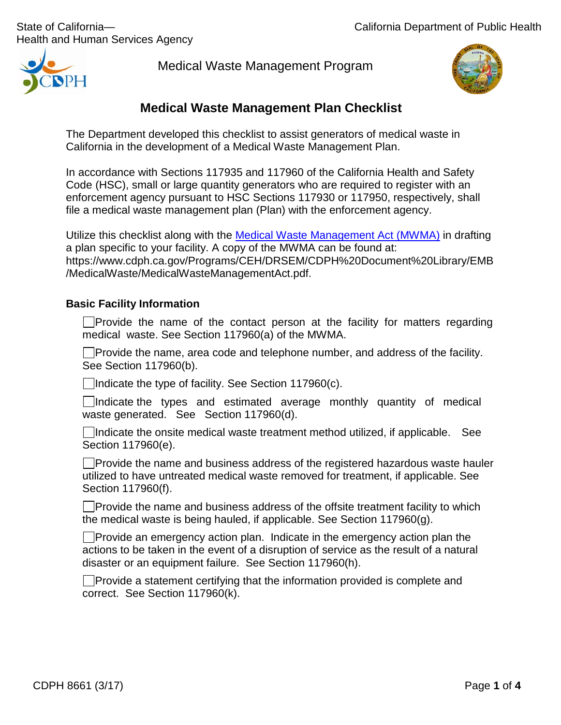Health and Human Services Agency

 $\mathsf{P}\mathsf{H}$ 

Medical Waste Management Program



# **Medical Waste Management Plan Checklist**

The Department developed this checklist to assist generators of medical waste in California in the development of a Medical Waste Management Plan.

In accordance with Sections 117935 and 117960 of the California Health and Safety Code (HSC), small or large quantity generators who are required to register with an enforcement agency pursuant to HSC Sections 117930 or 117950, respectively, shall file a medical waste management plan (Plan) with the enforcement agency.

Utilize this checklist along with the Medical Waste [Management Act \(MWMA\)](https://www.cdph.ca.gov/Programs/CEH/DRSEM/CDPH%20Document%20Library/EMB/MedicalWaste/MedicalWasteManagementAct.pdf) in drafting a plan specific to your facility. A copy of the MWMA can be found at: https://www.cdph.ca.gov/Programs/CEH/DRSEM/CDPH%20Document%20Library/EMB /MedicalWaste/MedicalWasteManagementAct.pdf.

## **Basic Facility Information**

 $\Box$ Provide the name of the contact person at the facility for matters regarding medical waste. See Section 117960(a) of the MWMA.

 $\Box$  Provide the name, area code and telephone number, and address of the facility. See Section 117960(b).

 $\Box$ Indicate the type of facility. See Section 117960(c).

 $\Box$ Indicate the types and estimated average monthly quantity of medical waste generated. See Section 117960(d).

 $\Box$ Indicate the onsite medical waste treatment method utilized, if applicable. See Section 117960(e).

 $\Box$ Provide the name and business address of the registered hazardous waste hauler utilized to have untreated medical waste removed for treatment, if applicable. See Section 117960(f).

 $\Box$  Provide the name and business address of the offsite treatment facility to which the medical waste is being hauled, if applicable. See Section 117960(g).

 $\Box$  Provide an emergency action plan. Indicate in the emergency action plan the actions to be taken in the event of a disruption of service as the result of a natural disaster or an equipment failure. See Section 117960(h).

**Provide a statement certifying that the information provided is complete and** correct. See Section 117960(k).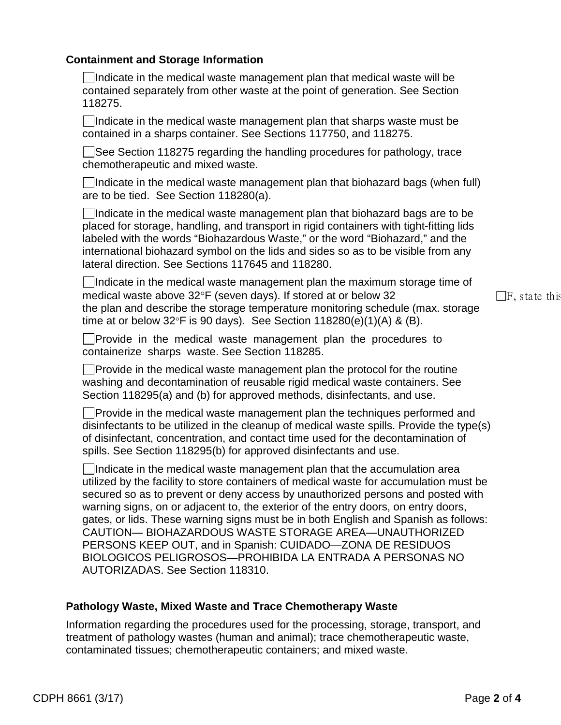### **Containment and Storage Information**

 $\Box$ Indicate in the medical waste management plan that medical waste will be contained separately from other waste at the point of generation. See Section 118275.

 $\Box$ Indicate in the medical waste management plan that sharps waste must be contained in a sharps container. See Sections 117750, and 118275.

 $\vert$  See Section 118275 regarding the handling procedures for pathology, trace chemotherapeutic and mixed waste.

Indicate in the medical waste management plan that biohazard bags (when full) are to be tied. See Section 118280(a).

 $\Box$ Indicate in the medical waste management plan that biohazard bags are to be placed for storage, handling, and transport in rigid containers with tight-fitting lids labeled with the words "Biohazardous Waste," or the word "Biohazard," and the international biohazard symbol on the lids and sides so as to be visible from any lateral direction. See Sections 117645 and 118280.

 $\Box$ Indicate in the medical waste management plan the maximum storage time of medical waste above  $32^{\circ}F$  (seven days). If stored at or below 32  $\Box F$ , state this the plan and describe the storage temperature monitoring schedule (max. storage time at or below  $32^{\circ}$ F is 90 days). See Section 118280(e)(1)(A) & (B).

Provide in the medical waste management plan the procedures to containerize sharps waste. See Section 118285.

Provide in the medical waste management plan the protocol for the routine washing and decontamination of reusable rigid medical waste containers. See Section 118295(a) and (b) for approved methods, disinfectants, and use.

**Provide in the medical waste management plan the techniques performed and** disinfectants to be utilized in the cleanup of medical waste spills. Provide the type(s) of disinfectant, concentration, and contact time used for the decontamination of spills. See Section 118295(b) for approved disinfectants and use.

Indicate in the medical waste management plan that the accumulation area utilized by the facility to store containers of medical waste for accumulation must be secured so as to prevent or deny access by unauthorized persons and posted with warning signs, on or adjacent to, the exterior of the entry doors, on entry doors, gates, or lids. These warning signs must be in both English and Spanish as follows: CAUTION— BIOHAZARDOUS WASTE STORAGE AREA—UNAUTHORIZED PERSONS KEEP OUT, and in Spanish: CUIDADO—ZONA DE RESIDUOS BIOLOGICOS PELIGROSOS—PROHIBIDA LA ENTRADA A PERSONAS NO AUTORIZADAS. See Section 118310.

## **Pathology Waste, Mixed Waste and Trace Chemotherapy Waste**

Information regarding the procedures used for the processing, storage, transport, and treatment of pathology wastes (human and animal); trace chemotherapeutic waste, contaminated tissues; chemotherapeutic containers; and mixed waste.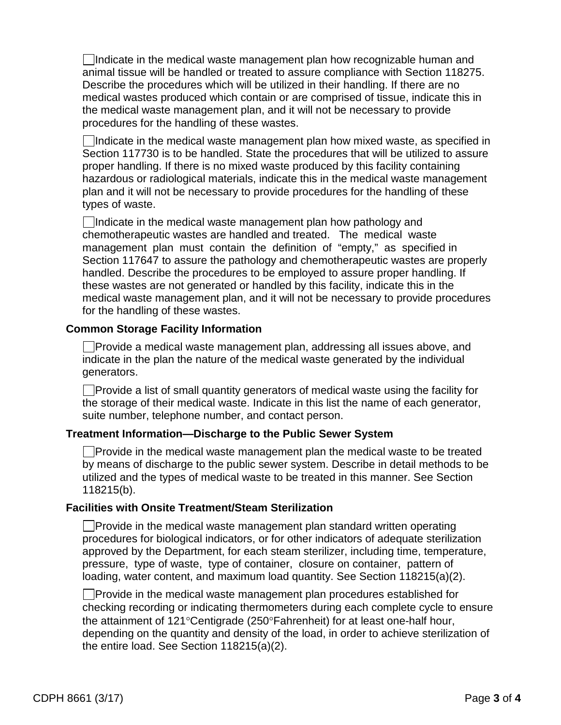$\Box$ Indicate in the medical waste management plan how recognizable human and animal tissue will be handled or treated to assure compliance with Section 118275. Describe the procedures which will be utilized in their handling. If there are no medical wastes produced which contain or are comprised of tissue, indicate this in the medical waste management plan, and it will not be necessary to provide procedures for the handling of these wastes.

 $\Box$ Indicate in the medical waste management plan how mixed waste, as specified in Section 117730 is to be handled. State the procedures that will be utilized to assure proper handling. If there is no mixed waste produced by this facility containing hazardous or radiological materials, indicate this in the medical waste management plan and it will not be necessary to provide procedures for the handling of these types of waste.

 $\Box$ Indicate in the medical waste management plan how pathology and chemotherapeutic wastes are handled and treated. The medical waste management plan must contain the definition of "empty," as specified in Section 117647 to assure the pathology and chemotherapeutic wastes are properly handled. Describe the procedures to be employed to assure proper handling. If these wastes are not generated or handled by this facility, indicate this in the medical waste management plan, and it will not be necessary to provide procedures for the handling of these wastes.

## **Common Storage Facility Information**

 $\Box$ Provide a medical waste management plan, addressing all issues above, and indicate in the plan the nature of the medical waste generated by the individual generators.

 $\Box$  Provide a list of small quantity generators of medical waste using the facility for the storage of their medical waste. Indicate in this list the name of each generator, suite number, telephone number, and contact person.

## **Treatment Information—Discharge to the Public Sewer System**

 $\Box$ Provide in the medical waste management plan the medical waste to be treated by means of discharge to the public sewer system. Describe in detail methods to be utilized and the types of medical waste to be treated in this manner. See Section 118215(b).

## **Facilities with Onsite Treatment/Steam Sterilization**

 $\vert$  Provide in the medical waste management plan standard written operating procedures for biological indicators, or for other indicators of adequate sterilization approved by the Department, for each steam sterilizer, including time, temperature, pressure, type of waste, type of container, closure on container, pattern of loading, water content, and maximum load quantity. See Section 118215(a)(2).

 $\Box$  Provide in the medical waste management plan procedures established for checking recording or indicating thermometers during each complete cycle to ensure the attainment of 121°Centigrade (250°Fahrenheit) for at least one-half hour, depending on the quantity and density of the load, in order to achieve sterilization of the entire load. See Section 118215(a)(2).